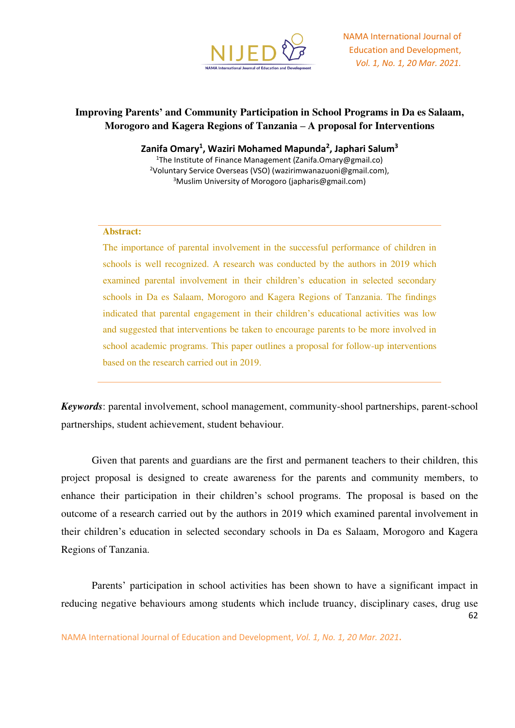

# **Improving Parents' and Community Participation in School Programs in Da es Salaam, Morogoro and Kagera Regions of Tanzania – A proposal for Interventions**

**Zanifa Omary<sup>1</sup> , Waziri Mohamed Mapunda<sup>2</sup> , Japhari Salum<sup>3</sup>** The Institute of Finance Management (Zanifa.Omary@gmail.co) Voluntary Service Overseas (VSO) (wazirimwanazuoni@gmail.com), Muslim University of Morogoro (japharis@gmail.com)

### **Abstract:**

The importance of parental involvement in the successful performance of children in schools is well recognized. A research was conducted by the authors in 2019 which examined parental involvement in their children's education in selected secondary schools in Da es Salaam, Morogoro and Kagera Regions of Tanzania. The findings indicated that parental engagement in their children's educational activities was low and suggested that interventions be taken to encourage parents to be more involved in school academic programs. This paper outlines a proposal for follow-up interventions based on the research carried out in 2019.

*Keywords*: parental involvement, school management, community-shool partnerships, parent-school partnerships, student achievement, student behaviour.

Given that parents and guardians are the first and permanent teachers to their children, this project proposal is designed to create awareness for the parents and community members, to enhance their participation in their children's school programs. The proposal is based on the outcome of a research carried out by the authors in 2019 which examined parental involvement in their children's education in selected secondary schools in Da es Salaam, Morogoro and Kagera Regions of Tanzania.

62 Parents' participation in school activities has been shown to have a significant impact in reducing negative behaviours among students which include truancy, disciplinary cases, drug use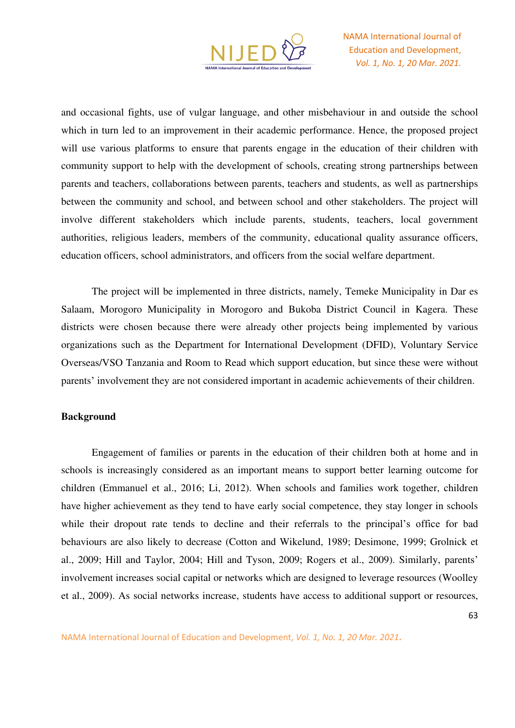

NAMA International Journal of Education and Development, *Vol. 1, No. 1, 20 Mar. 2021.*

and occasional fights, use of vulgar language, and other misbehaviour in and outside the school which in turn led to an improvement in their academic performance. Hence, the proposed project will use various platforms to ensure that parents engage in the education of their children with community support to help with the development of schools, creating strong partnerships between parents and teachers, collaborations between parents, teachers and students, as well as partnerships between the community and school, and between school and other stakeholders. The project will involve different stakeholders which include parents, students, teachers, local government authorities, religious leaders, members of the community, educational quality assurance officers, education officers, school administrators, and officers from the social welfare department.

The project will be implemented in three districts, namely, Temeke Municipality in Dar es Salaam, Morogoro Municipality in Morogoro and Bukoba District Council in Kagera. These districts were chosen because there were already other projects being implemented by various organizations such as the Department for International Development (DFID), Voluntary Service Overseas/VSO Tanzania and Room to Read which support education, but since these were without parents' involvement they are not considered important in academic achievements of their children.

#### **Background**

Engagement of families or parents in the education of their children both at home and in schools is increasingly considered as an important means to support better learning outcome for children (Emmanuel et al., 2016; Li, 2012). When schools and families work together, children have higher achievement as they tend to have early social competence, they stay longer in schools while their dropout rate tends to decline and their referrals to the principal's office for bad behaviours are also likely to decrease (Cotton and Wikelund, 1989; Desimone, 1999; Grolnick et al., 2009; Hill and Taylor, 2004; Hill and Tyson, 2009; Rogers et al., 2009). Similarly, parents' involvement increases social capital or networks which are designed to leverage resources (Woolley et al., 2009). As social networks increase, students have access to additional support or resources,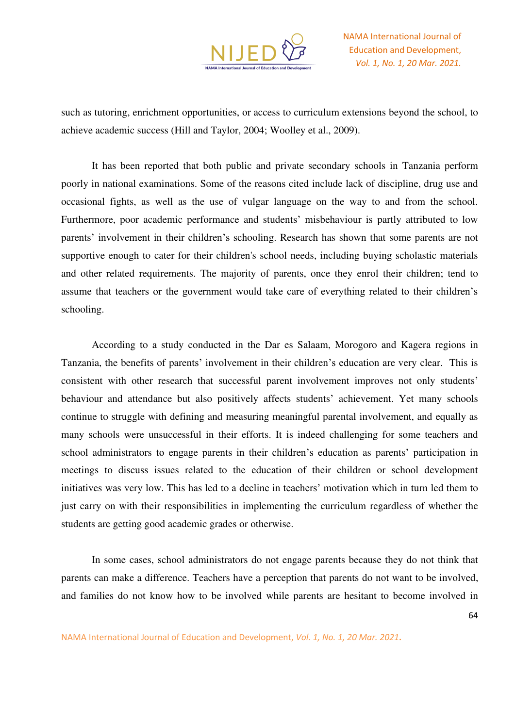

such as tutoring, enrichment opportunities, or access to curriculum extensions beyond the school, to achieve academic success (Hill and Taylor, 2004; Woolley et al., 2009).

It has been reported that both public and private secondary schools in Tanzania perform poorly in national examinations. Some of the reasons cited include lack of discipline, drug use and occasional fights, as well as the use of vulgar language on the way to and from the school. Furthermore, poor academic performance and students' misbehaviour is partly attributed to low parents' involvement in their children's schooling. Research has shown that some parents are not supportive enough to cater for their children's school needs, including buying scholastic materials and other related requirements. The majority of parents, once they enrol their children; tend to assume that teachers or the government would take care of everything related to their children's schooling.

According to a study conducted in the Dar es Salaam, Morogoro and Kagera regions in Tanzania, the benefits of parents' involvement in their children's education are very clear. This is consistent with other research that successful parent involvement improves not only students' behaviour and attendance but also positively affects students' achievement. Yet many schools continue to struggle with defining and measuring meaningful parental involvement, and equally as many schools were unsuccessful in their efforts. It is indeed challenging for some teachers and school administrators to engage parents in their children's education as parents' participation in meetings to discuss issues related to the education of their children or school development initiatives was very low. This has led to a decline in teachers' motivation which in turn led them to just carry on with their responsibilities in implementing the curriculum regardless of whether the students are getting good academic grades or otherwise.

In some cases, school administrators do not engage parents because they do not think that parents can make a difference. Teachers have a perception that parents do not want to be involved, and families do not know how to be involved while parents are hesitant to become involved in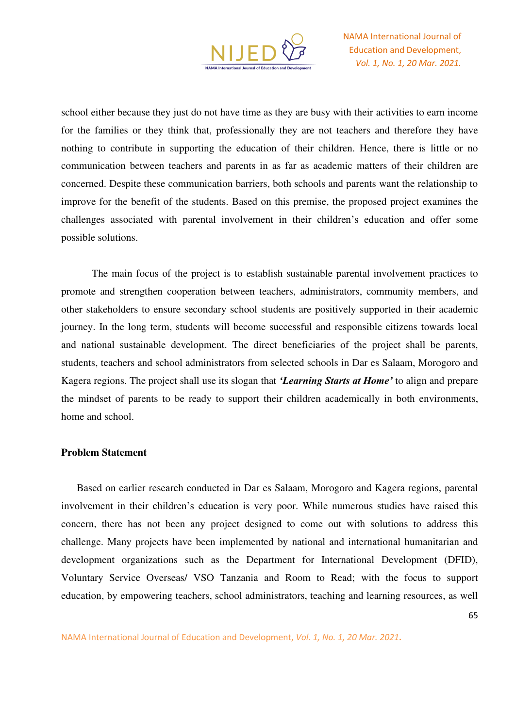

school either because they just do not have time as they are busy with their activities to earn income for the families or they think that, professionally they are not teachers and therefore they have nothing to contribute in supporting the education of their children. Hence, there is little or no communication between teachers and parents in as far as academic matters of their children are concerned. Despite these communication barriers, both schools and parents want the relationship to improve for the benefit of the students. Based on this premise, the proposed project examines the challenges associated with parental involvement in their children's education and offer some possible solutions.

The main focus of the project is to establish sustainable parental involvement practices to promote and strengthen cooperation between teachers, administrators, community members, and other stakeholders to ensure secondary school students are positively supported in their academic journey. In the long term, students will become successful and responsible citizens towards local and national sustainable development. The direct beneficiaries of the project shall be parents, students, teachers and school administrators from selected schools in Dar es Salaam, Morogoro and Kagera regions. The project shall use its slogan that *'Learning Starts at Home'* to align and prepare the mindset of parents to be ready to support their children academically in both environments, home and school.

### **Problem Statement**

Based on earlier research conducted in Dar es Salaam, Morogoro and Kagera regions, parental involvement in their children's education is very poor. While numerous studies have raised this concern, there has not been any project designed to come out with solutions to address this challenge. Many projects have been implemented by national and international humanitarian and development organizations such as the Department for International Development (DFID), Voluntary Service Overseas/ VSO Tanzania and Room to Read; with the focus to support education, by empowering teachers, school administrators, teaching and learning resources, as well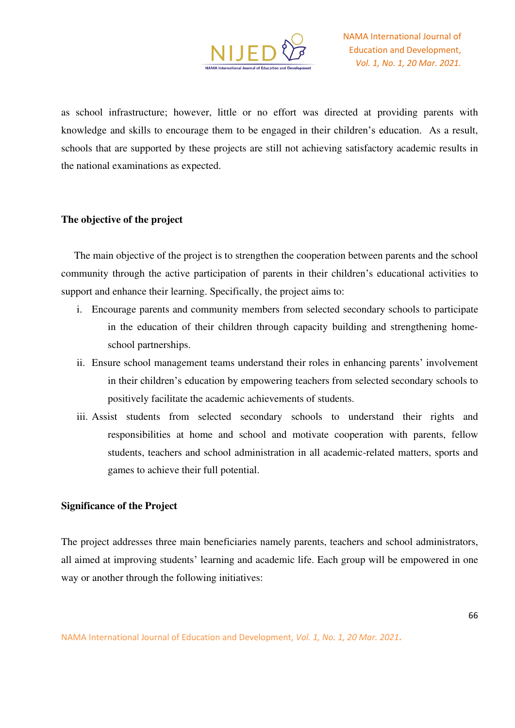

as school infrastructure; however, little or no effort was directed at providing parents with knowledge and skills to encourage them to be engaged in their children's education. As a result, schools that are supported by these projects are still not achieving satisfactory academic results in the national examinations as expected.

### **The objective of the project**

The main objective of the project is to strengthen the cooperation between parents and the school community through the active participation of parents in their children's educational activities to support and enhance their learning. Specifically, the project aims to:

- i. Encourage parents and community members from selected secondary schools to participate in the education of their children through capacity building and strengthening homeschool partnerships.
- ii. Ensure school management teams understand their roles in enhancing parents' involvement in their children's education by empowering teachers from selected secondary schools to positively facilitate the academic achievements of students.
- iii. Assist students from selected secondary schools to understand their rights and responsibilities at home and school and motivate cooperation with parents, fellow students, teachers and school administration in all academic-related matters, sports and games to achieve their full potential.

# **Significance of the Project**

The project addresses three main beneficiaries namely parents, teachers and school administrators, all aimed at improving students' learning and academic life. Each group will be empowered in one way or another through the following initiatives: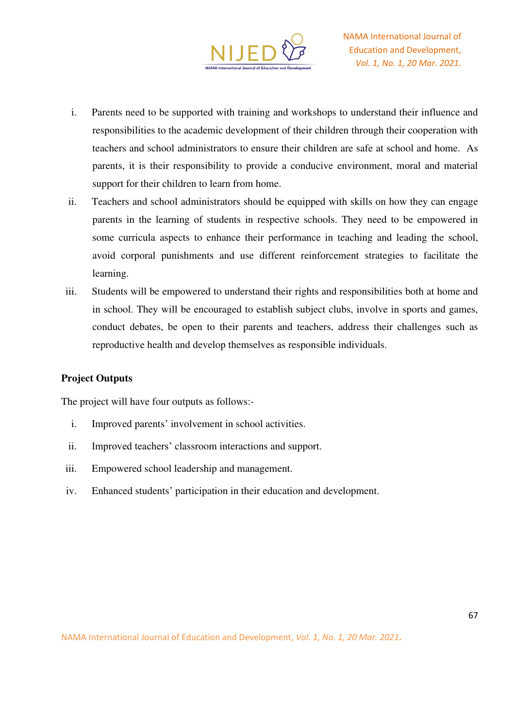

- i. Parents need to be supported with training and workshops to understand their influence and responsibilities to the academic development of their children through their cooperation with teachers and school administrators to ensure their children are safe at school and home. As parents, it is their responsibility to provide a conducive environment, moral and material support for their children to learn from home.
- ii. Teachers and school administrators should be equipped with skills on how they can engage parents in the learning of students in respective schools. They need to be empowered in some curricula aspects to enhance their performance in teaching and leading the school, avoid corporal punishments and use different reinforcement strategies to facilitate the learning.
- iii. Students will be empowered to understand their rights and responsibilities both at home and in school. They will be encouraged to establish subject clubs, involve in sports and games, conduct debates, be open to their parents and teachers, address their challenges such as reproductive health and develop themselves as responsible individuals.

# **Project Outputs**

The project will have four outputs as follows:-

- i. Improved parents' involvement in school activities.
- ii. Improved teachers' classroom interactions and support.
- iii. Empowered school leadership and management.
- iv. Enhanced students' participation in their education and development.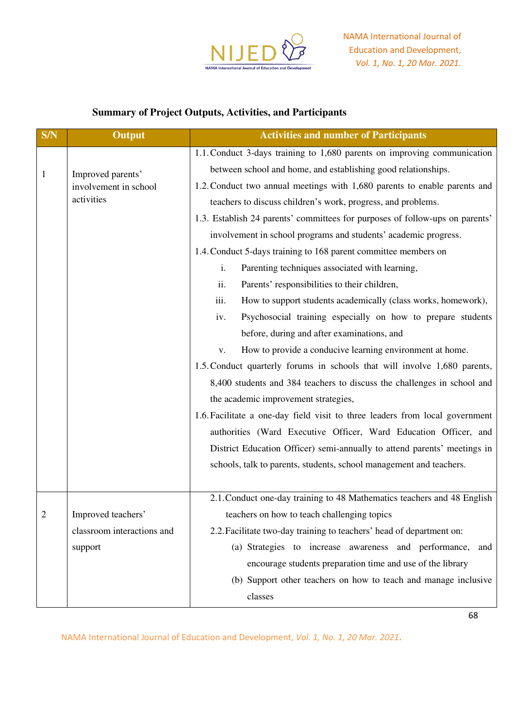

# **Summary of Project Outputs, Activities, and Participants**

| <b>S/N</b>   | <b>Output</b>                              | <b>Activities and number of Participants</b>                                 |  |  |
|--------------|--------------------------------------------|------------------------------------------------------------------------------|--|--|
|              | Improved parents'<br>involvement in school | 1.1. Conduct 3-days training to 1,680 parents on improving communication     |  |  |
| $\mathbf{1}$ |                                            | between school and home, and establishing good relationships.                |  |  |
|              |                                            | 1.2. Conduct two annual meetings with 1,680 parents to enable parents and    |  |  |
|              | activities                                 | teachers to discuss children's work, progress, and problems.                 |  |  |
|              |                                            | 1.3. Establish 24 parents' committees for purposes of follow-ups on parents' |  |  |
|              |                                            | involvement in school programs and students' academic progress.              |  |  |
|              |                                            | 1.4. Conduct 5-days training to 168 parent committee members on              |  |  |
|              |                                            | Parenting techniques associated with learning,<br>i.                         |  |  |
|              |                                            | ii.<br>Parents' responsibilities to their children,                          |  |  |
|              |                                            | How to support students academically (class works, homework),<br>iii.        |  |  |
|              |                                            | Psychosocial training especially on how to prepare students<br>iv.           |  |  |
|              |                                            | before, during and after examinations, and                                   |  |  |
|              |                                            | How to provide a conducive learning environment at home.<br>V.               |  |  |
|              |                                            | 1.5. Conduct quarterly forums in schools that will involve 1,680 parents,    |  |  |
|              |                                            | 8,400 students and 384 teachers to discuss the challenges in school and      |  |  |
|              |                                            | the academic improvement strategies,                                         |  |  |
|              |                                            | 1.6. Facilitate a one-day field visit to three leaders from local government |  |  |
|              |                                            | authorities (Ward Executive Officer, Ward Education Officer, and             |  |  |
|              |                                            | District Education Officer) semi-annually to attend parents' meetings in     |  |  |
|              |                                            | schools, talk to parents, students, school management and teachers.          |  |  |
|              |                                            |                                                                              |  |  |
|              |                                            | 2.1. Conduct one-day training to 48 Mathematics teachers and 48 English      |  |  |
| $\mathbf{z}$ | Improved teachers'                         | teachers on how to teach challenging topics                                  |  |  |
|              | classroom interactions and                 | 2.2. Facilitate two-day training to teachers' head of department on:         |  |  |
|              | support                                    | (a) Strategies to increase awareness and performance,<br>and                 |  |  |
|              |                                            | encourage students preparation time and use of the library                   |  |  |
|              |                                            | (b) Support other teachers on how to teach and manage inclusive              |  |  |
|              |                                            | classes                                                                      |  |  |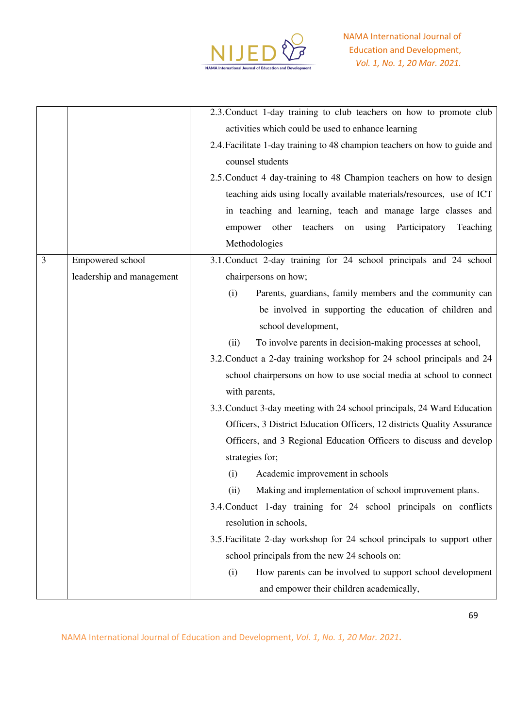

|                |                           | 2.3. Conduct 1-day training to club teachers on how to promote club        |  |  |
|----------------|---------------------------|----------------------------------------------------------------------------|--|--|
|                |                           | activities which could be used to enhance learning                         |  |  |
|                |                           | 2.4. Facilitate 1-day training to 48 champion teachers on how to guide and |  |  |
|                |                           | counsel students                                                           |  |  |
|                |                           | 2.5. Conduct 4 day-training to 48 Champion teachers on how to design       |  |  |
|                |                           | teaching aids using locally available materials/resources, use of ICT      |  |  |
|                |                           | in teaching and learning, teach and manage large classes and               |  |  |
|                |                           | teachers<br>Participatory<br>empower other<br>using<br>Teaching<br>on      |  |  |
|                |                           | Methodologies                                                              |  |  |
| $\overline{3}$ | Empowered school          | 3.1. Conduct 2-day training for 24 school principals and 24 school         |  |  |
|                | leadership and management | chairpersons on how;                                                       |  |  |
|                |                           | Parents, guardians, family members and the community can<br>(i)            |  |  |
|                |                           | be involved in supporting the education of children and                    |  |  |
|                |                           | school development,                                                        |  |  |
|                |                           | To involve parents in decision-making processes at school,<br>(ii)         |  |  |
|                |                           | 3.2. Conduct a 2-day training workshop for 24 school principals and 24     |  |  |
|                |                           | school chairpersons on how to use social media at school to connect        |  |  |
|                |                           | with parents,                                                              |  |  |
|                |                           | 3.3. Conduct 3-day meeting with 24 school principals, 24 Ward Education    |  |  |
|                |                           | Officers, 3 District Education Officers, 12 districts Quality Assurance    |  |  |
|                |                           | Officers, and 3 Regional Education Officers to discuss and develop         |  |  |
|                |                           | strategies for;                                                            |  |  |
|                |                           | Academic improvement in schools<br>(i)                                     |  |  |
|                |                           | Making and implementation of school improvement plans.<br>(ii)             |  |  |
|                |                           | 3.4. Conduct 1-day training for 24 school principals on conflicts          |  |  |
|                |                           | resolution in schools,                                                     |  |  |
|                |                           | 3.5. Facilitate 2-day workshop for 24 school principals to support other   |  |  |
|                |                           | school principals from the new 24 schools on:                              |  |  |
|                |                           | How parents can be involved to support school development<br>(i)           |  |  |
|                |                           | and empower their children academically,                                   |  |  |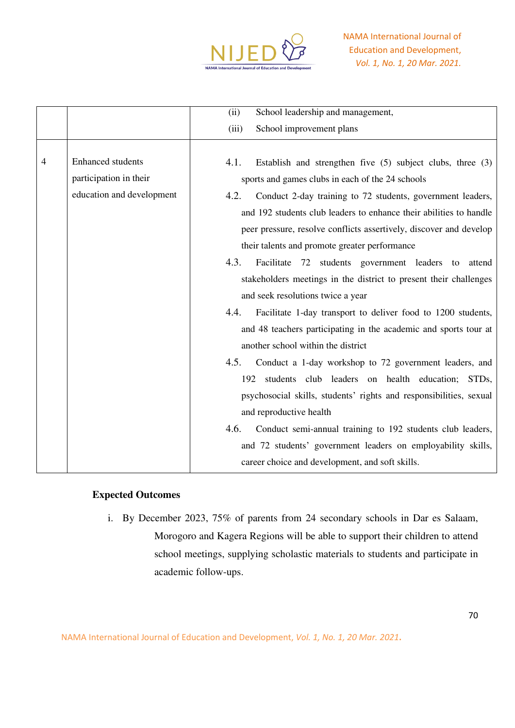

|                |                           | (ii)<br>School leadership and management,                              |  |  |
|----------------|---------------------------|------------------------------------------------------------------------|--|--|
|                |                           | School improvement plans<br>(iii)                                      |  |  |
|                |                           |                                                                        |  |  |
| $\overline{4}$ | <b>Enhanced</b> students  | 4.1.<br>Establish and strengthen five $(5)$ subject clubs, three $(3)$ |  |  |
|                | participation in their    | sports and games clubs in each of the 24 schools                       |  |  |
|                | education and development | 4.2.<br>Conduct 2-day training to 72 students, government leaders,     |  |  |
|                |                           | and 192 students club leaders to enhance their abilities to handle     |  |  |
|                |                           | peer pressure, resolve conflicts assertively, discover and develop     |  |  |
|                |                           | their talents and promote greater performance                          |  |  |
|                |                           | 4.3.<br>Facilitate<br>72 students government leaders to<br>attend      |  |  |
|                |                           | stakeholders meetings in the district to present their challenges      |  |  |
|                |                           | and seek resolutions twice a year                                      |  |  |
|                |                           | 4.4.<br>Facilitate 1-day transport to deliver food to 1200 students,   |  |  |
|                |                           | and 48 teachers participating in the academic and sports tour at       |  |  |
|                |                           | another school within the district                                     |  |  |
|                |                           | 4.5.<br>Conduct a 1-day workshop to 72 government leaders, and         |  |  |
|                |                           | students club leaders on health education; STDs,<br>192                |  |  |
|                |                           | psychosocial skills, students' rights and responsibilities, sexual     |  |  |
|                |                           | and reproductive health                                                |  |  |
|                |                           | 4.6.<br>Conduct semi-annual training to 192 students club leaders,     |  |  |
|                |                           | and 72 students' government leaders on employability skills,           |  |  |
|                |                           | career choice and development, and soft skills.                        |  |  |

# **Expected Outcomes**

i. By December 2023, 75% of parents from 24 secondary schools in Dar es Salaam, Morogoro and Kagera Regions will be able to support their children to attend school meetings, supplying scholastic materials to students and participate in academic follow-ups.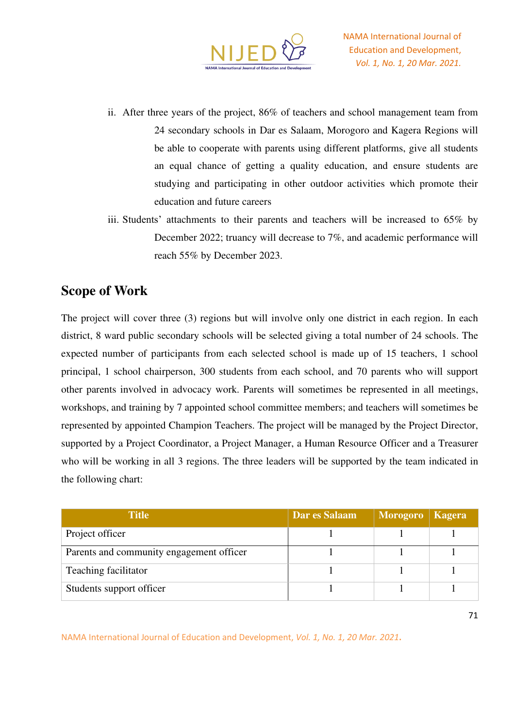

- ii. After three years of the project, 86% of teachers and school management team from 24 secondary schools in Dar es Salaam, Morogoro and Kagera Regions will be able to cooperate with parents using different platforms, give all students an equal chance of getting a quality education, and ensure students are studying and participating in other outdoor activities which promote their education and future careers
- iii. Students' attachments to their parents and teachers will be increased to 65% by December 2022; truancy will decrease to 7%, and academic performance will reach 55% by December 2023.

# **Scope of Work**

The project will cover three (3) regions but will involve only one district in each region. In each district, 8 ward public secondary schools will be selected giving a total number of 24 schools. The expected number of participants from each selected school is made up of 15 teachers, 1 school principal, 1 school chairperson, 300 students from each school, and 70 parents who will support other parents involved in advocacy work. Parents will sometimes be represented in all meetings, workshops, and training by 7 appointed school committee members; and teachers will sometimes be represented by appointed Champion Teachers. The project will be managed by the Project Director, supported by a Project Coordinator, a Project Manager, a Human Resource Officer and a Treasurer who will be working in all 3 regions. The three leaders will be supported by the team indicated in the following chart:

| Title                                    | Dar es Salaam | <b>Morogoro</b> | Kagera |
|------------------------------------------|---------------|-----------------|--------|
| Project officer                          |               |                 |        |
| Parents and community engagement officer |               |                 |        |
| Teaching facilitator                     |               |                 |        |
| Students support officer                 |               |                 |        |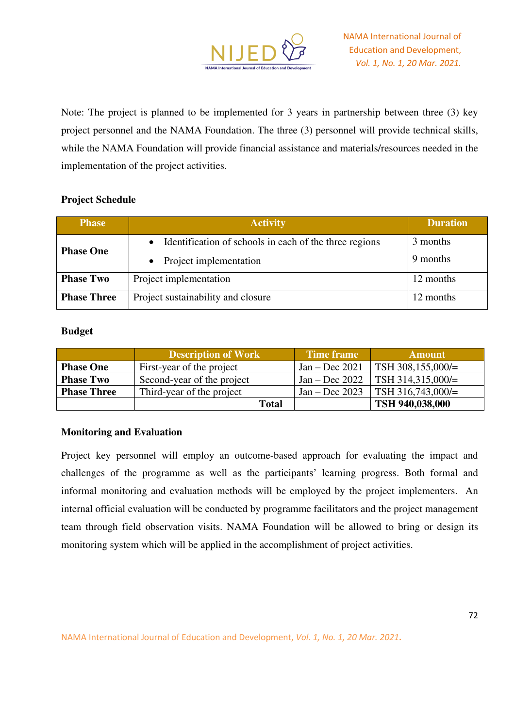

Note: The project is planned to be implemented for 3 years in partnership between three (3) key project personnel and the NAMA Foundation. The three (3) personnel will provide technical skills, while the NAMA Foundation will provide financial assistance and materials/resources needed in the implementation of the project activities.

# **Project Schedule**

| <b>Phase</b>       | <b>Activity</b>                                                     | <b>Duration</b> |
|--------------------|---------------------------------------------------------------------|-----------------|
| <b>Phase One</b>   | Identification of schools in each of the three regions<br>$\bullet$ | 3 months        |
|                    | Project implementation                                              | 9 months        |
| <b>Phase Two</b>   | Project implementation                                              | 12 months       |
| <b>Phase Three</b> | Project sustainability and closure                                  | 12 months       |

### **Budget**

|                    | Description of Work        | Time frame       | <b>Amount</b>               |
|--------------------|----------------------------|------------------|-----------------------------|
| <b>Phase One</b>   | First-year of the project  | $Jan - Dec 2021$ | $\text{TSH } 308,155,000/=$ |
| <b>Phase Two</b>   | Second-year of the project | $Jan - Dec 2022$ | $\vert$ TSH 314,315,000/=   |
| <b>Phase Three</b> | Third-year of the project  | $Jan - Dec 2023$ | $\text{TSH } 316,743,000 =$ |
|                    | Total                      |                  | TSH 940,038,000             |

# **Monitoring and Evaluation**

Project key personnel will employ an outcome-based approach for evaluating the impact and challenges of the programme as well as the participants' learning progress. Both formal and informal monitoring and evaluation methods will be employed by the project implementers. An internal official evaluation will be conducted by programme facilitators and the project management team through field observation visits. NAMA Foundation will be allowed to bring or design its monitoring system which will be applied in the accomplishment of project activities.